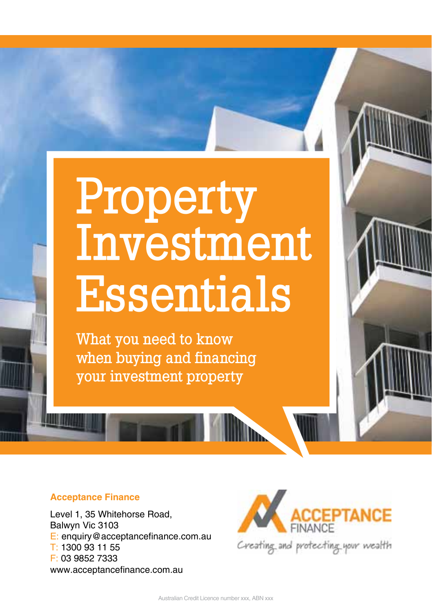# Property Investment Essentials

What you need to know when buying and financing your investment property

#### **Acceptance Finance**

Level 1, 35 Whitehorse Road, Balwyn Vic 3103 E: enquiry@acceptancefinance.com.au T: 1300 93 11 55 F: 03 9852 7333 www.acceptancefinance.com.au

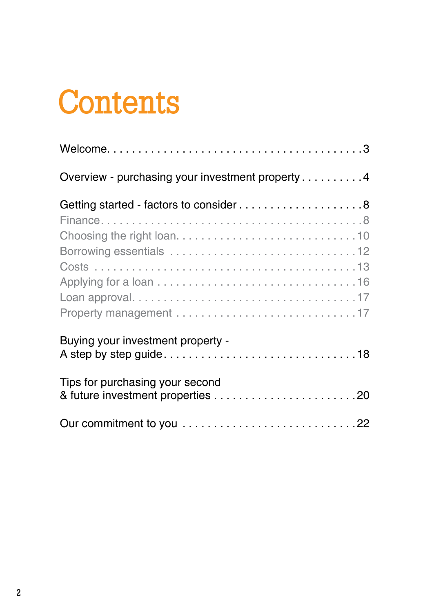# **Contents**

| Overview - purchasing your investment property 4                     |
|----------------------------------------------------------------------|
| Getting started - factors to consider8                               |
| Buying your investment property -<br>Tips for purchasing your second |
|                                                                      |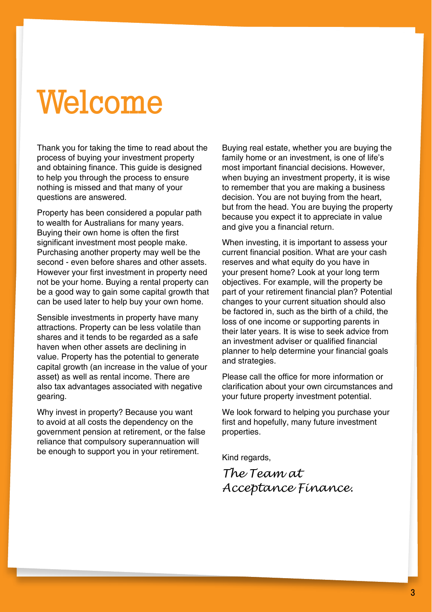# Welcome

Thank you for taking the time to read about the process of buying your investment property and obtaining finance. This guide is designed to help you through the process to ensure nothing is missed and that many of your questions are answered.

Property has been considered a popular path to wealth for Australians for many years. Buying their own home is often the first significant investment most people make. Purchasing another property may well be the second - even before shares and other assets. However your first investment in property need not be your home. Buying a rental property can be a good way to gain some capital growth that can be used later to help buy your own home.

Sensible investments in property have many attractions. Property can be less volatile than shares and it tends to be regarded as a safe haven when other assets are declining in value. Property has the potential to generate capital growth (an increase in the value of your asset) as well as rental income. There are also tax advantages associated with negative gearing.

Why invest in property? Because you want to avoid at all costs the dependency on the government pension at retirement, or the false reliance that compulsory superannuation will be enough to support you in your retirement.

Buying real estate, whether you are buying the family home or an investment, is one of life's most important financial decisions. However, when buying an investment property, it is wise to remember that you are making a business decision. You are not buying from the heart, but from the head. You are buying the property because you expect it to appreciate in value and give you a financial return.

When investing, it is important to assess your current financial position. What are your cash reserves and what equity do you have in your present home? Look at your long term objectives. For example, will the property be part of your retirement financial plan? Potential changes to your current situation should also be factored in, such as the birth of a child, the loss of one income or supporting parents in their later years. It is wise to seek advice from an investment adviser or qualified financial planner to help determine your financial goals and strategies.

Please call the office for more information or clarification about your own circumstances and your future property investment potential.

We look forward to helping you purchase your first and hopefully, many future investment properties.

Kind regards,

*The Team at Acceptance Finance.*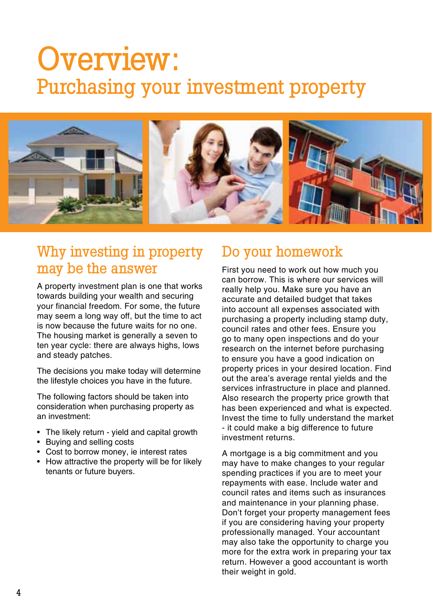## Overview: Purchasing your investment property



## Why investing in property may be the answer

A property investment plan is one that works towards building your wealth and securing your financial freedom. For some, the future may seem a long way off, but the time to act is now because the future waits for no one. The housing market is generally a seven to ten year cycle: there are always highs, lows and steady patches.

The decisions you make today will determine the lifestyle choices you have in the future.

The following factors should be taken into consideration when purchasing property as an investment:

- The likely return yield and capital growth
- Buying and selling costs
- Cost to borrow money, ie interest rates
- How attractive the property will be for likely tenants or future buyers.

## Do your homework

First you need to work out how much you can borrow. This is where our services will really help you. Make sure you have an accurate and detailed budget that takes into account all expenses associated with purchasing a property including stamp duty, council rates and other fees. Ensure you go to many open inspections and do your research on the internet before purchasing to ensure you have a good indication on property prices in your desired location. Find out the area's average rental yields and the services infrastructure in place and planned. Also research the property price growth that has been experienced and what is expected. Invest the time to fully understand the market - it could make a big difference to future investment returns.

A mortgage is a big commitment and you may have to make changes to your regular spending practices if you are to meet your repayments with ease. Include water and council rates and items such as insurances and maintenance in your planning phase. Don't forget your property management fees if you are considering having your property professionally managed. Your accountant may also take the opportunity to charge you more for the extra work in preparing your tax return. However a good accountant is worth their weight in gold.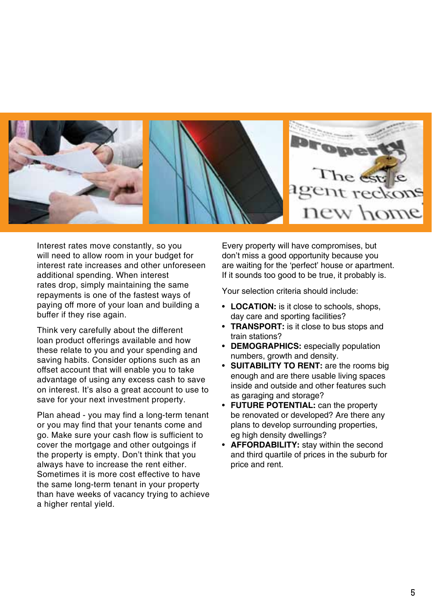

Interest rates move constantly, so you will need to allow room in your budget for interest rate increases and other unforeseen additional spending. When interest rates drop, simply maintaining the same repayments is one of the fastest ways of paying off more of your loan and building a buffer if they rise again.

Think very carefully about the different loan product offerings available and how these relate to you and your spending and saving habits. Consider options such as an offset account that will enable you to take advantage of using any excess cash to save on interest. It's also a great account to use to save for your next investment property.

Plan ahead - you may find a long-term tenant or you may find that your tenants come and go. Make sure your cash flow is sufficient to cover the mortgage and other outgoings if the property is empty. Don't think that you always have to increase the rent either. Sometimes it is more cost effective to have the same long-term tenant in your property than have weeks of vacancy trying to achieve a higher rental yield.

Every property will have compromises, but don't miss a good opportunity because you are waiting for the 'perfect' house or apartment. If it sounds too good to be true, it probably is.

Your selection criteria should include:

- **LOCATION:** is it close to schools, shops, day care and sporting facilities?
- **TRANSPORT:** is it close to bus stops and train stations?
- **Demographics:** especially population numbers, growth and density.
- **SUITABILITY TO RENT:** are the rooms big enough and are there usable living spaces inside and outside and other features such as garaging and storage?
- **FUTURE POTENTIAL:** can the property be renovated or developed? Are there any plans to develop surrounding properties, eg high density dwellings?
- **Affordability:** stay within the second and third quartile of prices in the suburb for price and rent.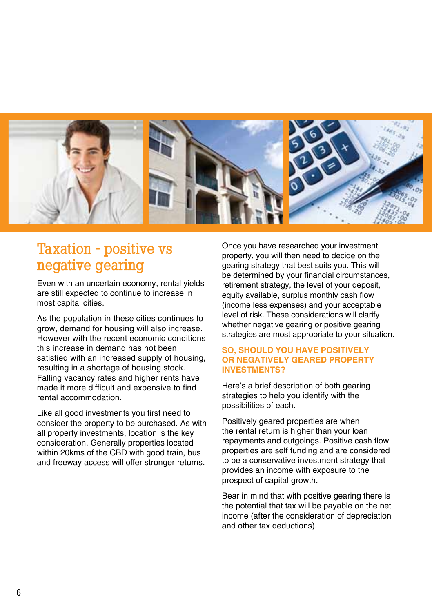

## Taxation - positive vs negative gearing

Even with an uncertain economy, rental yields are still expected to continue to increase in most capital cities.

As the population in these cities continues to grow, demand for housing will also increase. However with the recent economic conditions this increase in demand has not been satisfied with an increased supply of housing, resulting in a shortage of housing stock. Falling vacancy rates and higher rents have made it more difficult and expensive to find rental accommodation.

Like all good investments you first need to consider the property to be purchased. As with all property investments, location is the key consideration. Generally properties located within 20kms of the CBD with good train, bus and freeway access will offer stronger returns.

Once you have researched your investment property, you will then need to decide on the gearing strategy that best suits you. This will be determined by your financial circumstances, retirement strategy, the level of your deposit. equity available, surplus monthly cash flow (income less expenses) and your acceptable level of risk. These considerations will clarify whether negative gearing or positive gearing strategies are most appropriate to your situation.

#### **SO, SHOULD YOU HAVE POSITIVELY OR NEGATIVELY GEARED PROPERTY INVESTMENTS?**

Here's a brief description of both gearing strategies to help you identify with the possibilities of each.

Positively geared properties are when the rental return is higher than your loan repayments and outgoings. Positive cash flow properties are self funding and are considered to be a conservative investment strategy that provides an income with exposure to the prospect of capital growth.

Bear in mind that with positive gearing there is the potential that tax will be payable on the net income (after the consideration of depreciation and other tax deductions).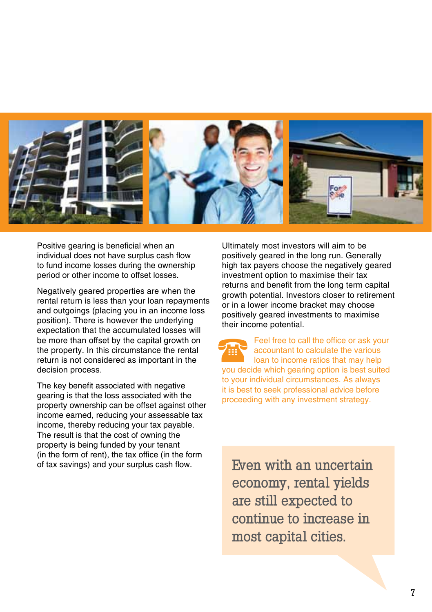

Positive gearing is beneficial when an individual does not have surplus cash flow to fund income losses during the ownership period or other income to offset losses.

Negatively geared properties are when the rental return is less than your loan repayments and outgoings (placing you in an income loss position). There is however the underlying expectation that the accumulated losses will be more than offset by the capital growth on the property. In this circumstance the rental return is not considered as important in the decision process.

The key benefit associated with negative gearing is that the loss associated with the property ownership can be offset against other income earned, reducing your assessable tax income, thereby reducing your tax payable. The result is that the cost of owning the property is being funded by your tenant (in the form of rent), the tax office (in the form of tax savings) and your surplus cash flow.

Ultimately most investors will aim to be positively geared in the long run. Generally high tax payers choose the negatively geared investment option to maximise their tax returns and benefit from the long term capital growth potential. Investors closer to retirement or in a lower income bracket may choose positively geared investments to maximise their income potential.

Feel free to call the office or ask your accountant to calculate the various loan to income ratios that may help you decide which gearing option is best suited to your individual circumstances. As always it is best to seek professional advice before proceeding with any investment strategy. THE

Even with an uncertain economy, rental yields are still expected to continue to increase in most capital cities.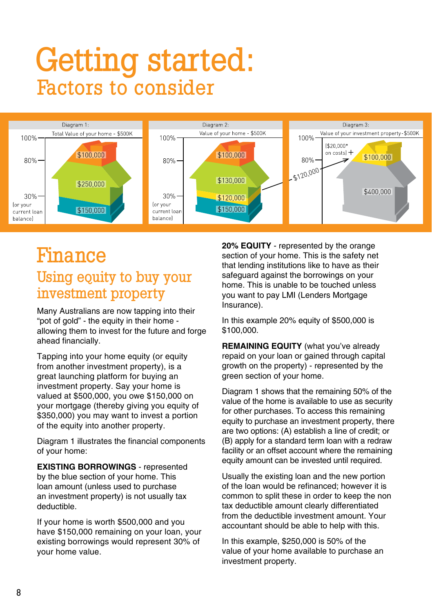## Getting started: Factors to consider



## Finance Using equity to buy your investment property

Many Australians are now tapping into their "pot of gold" - the equity in their home allowing them to invest for the future and forge ahead financially.

Tapping into your home equity (or equity from another investment property), is a great launching platform for buying an investment property. Say your home is valued at \$500,000, you owe \$150,000 on your mortgage (thereby giving you equity of \$350,000) you may want to invest a portion of the equity into another property.

Diagram 1 illustrates the financial components of your home:

**EXISTING BORROWINGS** - represented by the blue section of your home. This loan amount (unless used to purchase an investment property) is not usually tax deductible.

If your home is worth \$500,000 and you have \$150,000 remaining on your loan, your existing borrowings would represent 30% of your home value.

**20% EQUITY** - represented by the orange section of your home. This is the safety net that lending institutions like to have as their safeguard against the borrowings on your home. This is unable to be touched unless you want to pay LMI (Lenders Mortgage Insurance).

In this example 20% equity of \$500,000 is \$100,000.

**REMAINING EQUITY** (what you've already repaid on your loan or gained through capital growth on the property) - represented by the green section of your home.

Diagram 1 shows that the remaining 50% of the value of the home is available to use as security for other purchases. To access this remaining equity to purchase an investment property, there are two options: (A) establish a line of credit; or (B) apply for a standard term loan with a redraw facility or an offset account where the remaining equity amount can be invested until required.

Usually the existing loan and the new portion of the loan would be refinanced; however it is common to split these in order to keep the non tax deductible amount clearly differentiated from the deductible investment amount. Your accountant should be able to help with this.

In this example, \$250,000 is 50% of the value of your home available to purchase an investment property.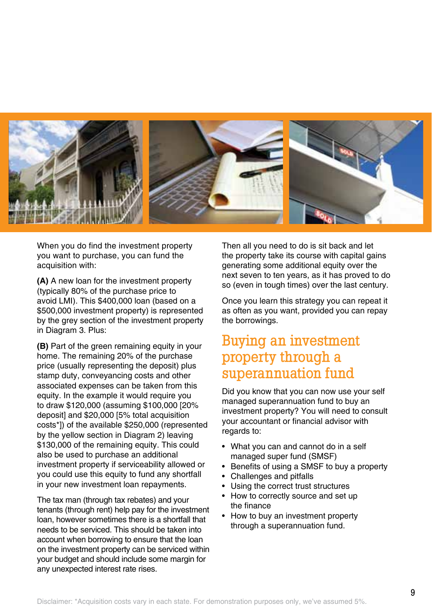

When you do find the investment property you want to purchase, you can fund the acquisition with:

**(A)** A new loan for the investment property (typically 80% of the purchase price to avoid LMI). This \$400,000 loan (based on a \$500,000 investment property) is represented by the grey section of the investment property in Diagram 3. Plus:

**(B)** Part of the green remaining equity in your home. The remaining 20% of the purchase price (usually representing the deposit) plus stamp duty, conveyancing costs and other associated expenses can be taken from this equity. In the example it would require you to draw \$120,000 (assuming \$100,000 [20% deposit] and \$20,000 [5% total acquisition costs\*]) of the available \$250,000 (represented by the yellow section in Diagram 2) leaving \$130,000 of the remaining equity. This could also be used to purchase an additional investment property if serviceability allowed or you could use this equity to fund any shortfall in your new investment loan repayments.

The tax man (through tax rebates) and your tenants (through rent) help pay for the investment loan, however sometimes there is a shortfall that needs to be serviced. This should be taken into account when borrowing to ensure that the loan on the investment property can be serviced within your budget and should include some margin for any unexpected interest rate rises.

Then all you need to do is sit back and let the property take its course with capital gains generating some additional equity over the next seven to ten years, as it has proved to do so (even in tough times) over the last century.

Once you learn this strategy you can repeat it as often as you want, provided you can repay the borrowings.

### Buying an investment property through a superannuation fund

Did you know that you can now use your self managed superannuation fund to buy an investment property? You will need to consult your accountant or financial advisor with regards to:

- What you can and cannot do in a self managed super fund (SMSF)
- Benefits of using a SMSF to buy a property
- Challenges and pitfalls
- Using the correct trust structures
- How to correctly source and set up the finance
- How to buy an investment property through a superannuation fund.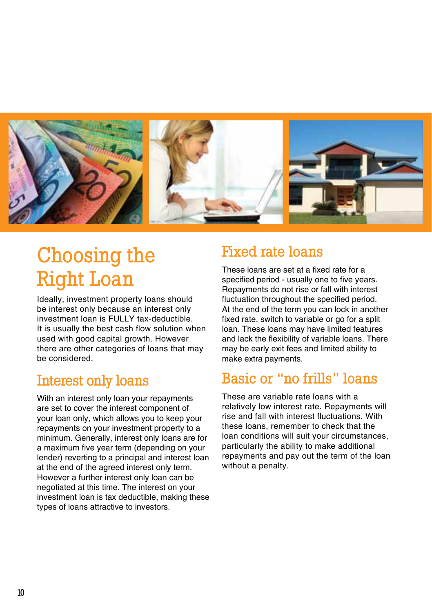

## Choosing the Right Loan

Ideally, investment property loans should be interest only because an interest only investment loan is FULLY tax-deductible. It is usually the best cash flow solution when used with good capital growth. However there are other categories of loans that may be considered.

## Interest only loans

With an interest only loan your repayments are set to cover the interest component of your loan only, which allows you to keep your repayments on your investment property to a minimum. Generally, interest only loans are for a maximum five year term (depending on your lender) reverting to a principal and interest loan at the end of the agreed interest only term. However a further interest only loan can be negotiated at this time. The interest on your investment loan is tax deductible, making these types of loans attractive to investors.

## Fixed rate loans

These loans are set at a fixed rate for a specified period - usually one to five years. Repayments do not rise or fall with interest fluctuation throughout the specified period. At the end of the term you can lock in another fixed rate, switch to variable or go for a split loan. These loans may have limited features and lack the flexibility of variable loans. There may be early exit fees and limited ability to make extra payments.

## Basic or "no frills" loans

These are variable rate loans with a relatively low interest rate. Repayments will rise and fall with interest fluctuations. With these loans, remember to check that the loan conditions will suit your circumstances, particularly the ability to make additional repayments and pay out the term of the loan without a penalty.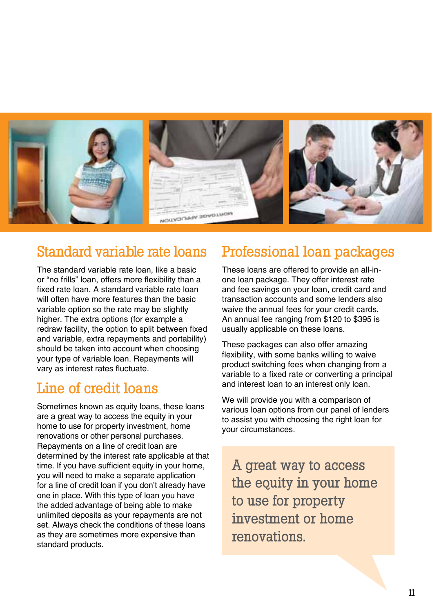

## Standard variable rate loans

The standard variable rate loan, like a basic or "no frills" loan, offers more flexibility than a fixed rate loan. A standard variable rate loan will often have more features than the basic variable option so the rate may be slightly higher. The extra options (for example a redraw facility, the option to split between fixed and variable, extra repayments and portability) should be taken into account when choosing your type of variable loan. Repayments will vary as interest rates fluctuate.

## Line of credit loans

Sometimes known as equity loans, these loans are a great way to access the equity in your home to use for property investment, home renovations or other personal purchases. Repayments on a line of credit loan are determined by the interest rate applicable at that time. If you have sufficient equity in your home, you will need to make a separate application for a line of credit loan if you don't already have one in place. With this type of loan you have the added advantage of being able to make unlimited deposits as your repayments are not set. Always check the conditions of these loans as they are sometimes more expensive than standard products.

## Professional loan packages

These loans are offered to provide an all-inone loan package. They offer interest rate and fee savings on your loan, credit card and transaction accounts and some lenders also waive the annual fees for your credit cards. An annual fee ranging from \$120 to \$395 is usually applicable on these loans.

These packages can also offer amazing flexibility, with some banks willing to waive product switching fees when changing from a variable to a fixed rate or converting a principal and interest loan to an interest only loan.

We will provide you with a comparison of various loan options from our panel of lenders to assist you with choosing the right loan for your circumstances.

A great way to access the equity in your home to use for property investment or home renovations.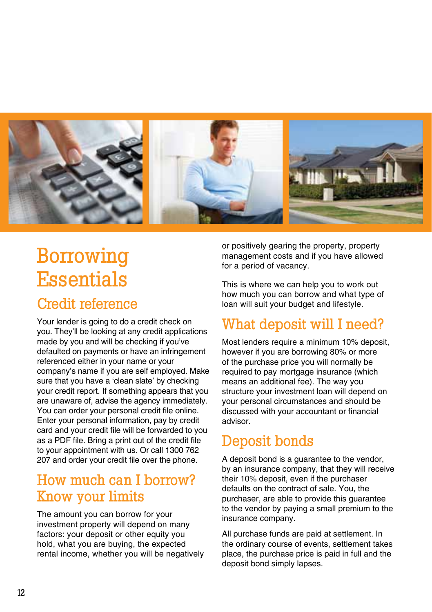

## Borrowing **Essentials**

### Credit reference

Your lender is going to do a credit check on you. They'll be looking at any credit applications made by you and will be checking if you've defaulted on payments or have an infringement referenced either in your name or your company's name if you are self employed. Make sure that you have a 'clean slate' by checking your credit report. If something appears that you are unaware of, advise the agency immediately. You can order your personal credit file online. Enter your personal information, pay by credit card and your credit file will be forwarded to you as a PDF file. Bring a print out of the credit file to your appointment with us. Or call 1300 762 207 and order your credit file over the phone.

## How much can I borrow? Know your limits

The amount you can borrow for your investment property will depend on many factors: your deposit or other equity you hold, what you are buying, the expected rental income, whether you will be negatively

or positively gearing the property, property management costs and if you have allowed for a period of vacancy.

This is where we can help you to work out how much you can borrow and what type of loan will suit your budget and lifestyle.

## What deposit will I need?

Most lenders require a minimum 10% deposit. however if you are borrowing 80% or more of the purchase price you will normally be required to pay mortgage insurance (which means an additional fee). The way you structure your investment loan will depend on your personal circumstances and should be discussed with your accountant or financial advisor.

## Deposit bonds

A deposit bond is a guarantee to the vendor, by an insurance company, that they will receive their 10% deposit, even if the purchaser defaults on the contract of sale. You, the purchaser, are able to provide this guarantee to the vendor by paying a small premium to the insurance company.

All purchase funds are paid at settlement. In the ordinary course of events, settlement takes place, the purchase price is paid in full and the deposit bond simply lapses.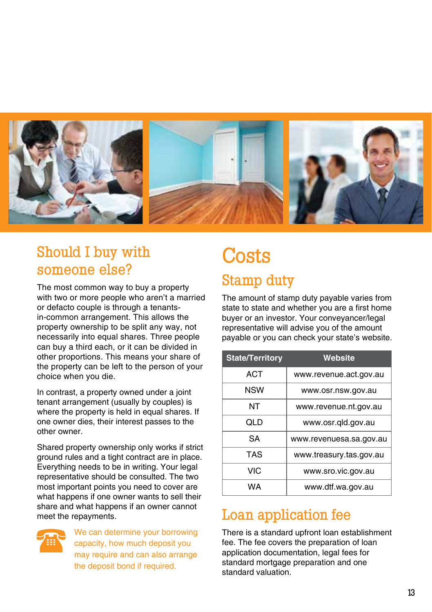

## Should I buy with someone else?

The most common way to buy a property with two or more people who aren't a married or defacto couple is through a tenantsin-common arrangement. This allows the property ownership to be split any way, not necessarily into equal shares. Three people can buy a third each, or it can be divided in other proportions. This means your share of the property can be left to the person of your choice when you die.

In contrast, a property owned under a joint tenant arrangement (usually by couples) is where the property is held in equal shares. If one owner dies, their interest passes to the other owner.

Shared property ownership only works if strict ground rules and a tight contract are in place. Everything needs to be in writing. Your legal representative should be consulted. The two most important points you need to cover are what happens if one owner wants to sell their share and what happens if an owner cannot meet the repayments.



We can determine your borrowing capacity, how much deposit you may require and can also arrange the deposit bond if required.

## **Costs** Stamp duty

The amount of stamp duty payable varies from state to state and whether you are a first home buyer or an investor. Your conveyancer/legal representative will advise you of the amount payable or you can check your state's website.

| <b>State/Territory</b> | Website                 |
|------------------------|-------------------------|
| ACT                    | www.revenue.act.gov.au  |
| NSW                    | www.osr.nsw.gov.au      |
| NΤ                     | www.revenue.nt.gov.au   |
| QLD                    | www.osr.gld.gov.au      |
| SА                     | www.revenuesa.sa.gov.au |
| TAS                    | www.treasury.tas.gov.au |
| VIC                    | www.sro.vic.gov.au      |
| WА                     | www.dtf.wa.gov.au       |

## Loan application fee

There is a standard upfront loan establishment fee. The fee covers the preparation of loan application documentation, legal fees for standard mortgage preparation and one standard valuation.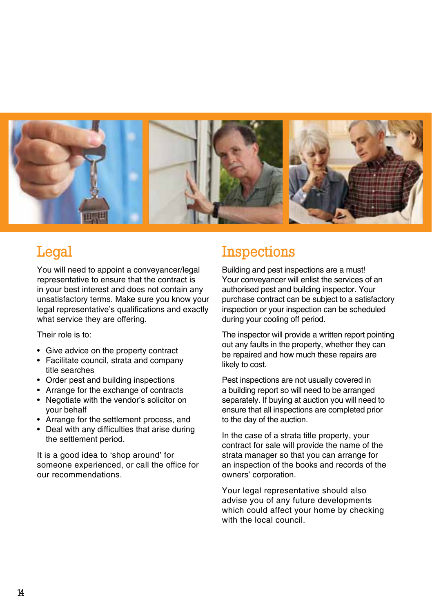

## **Legal**

You will need to appoint a conveyancer/legal representative to ensure that the contract is in your best interest and does not contain any unsatisfactory terms. Make sure you know your legal representative's qualifications and exactly what service they are offering.

Their role is to:

- Give advice on the property contract
- Facilitate council, strata and company title searches
- Order pest and building inspections
- Arrange for the exchange of contracts
- Negotiate with the vendor's solicitor on your behalf
- Arrange for the settlement process, and
- Deal with any difficulties that arise during the settlement period.

It is a good idea to 'shop around' for someone experienced, or call the office for our recommendations.

## Inspections

Building and pest inspections are a must! Your conveyancer will enlist the services of an authorised pest and building inspector. Your purchase contract can be subject to a satisfactory inspection or your inspection can be scheduled during your cooling off period.

The inspector will provide a written report pointing out any faults in the property, whether they can be repaired and how much these repairs are likely to cost.

Pest inspections are not usually covered in a building report so will need to be arranged separately. If buying at auction you will need to ensure that all inspections are completed prior to the day of the auction.

In the case of a strata title property, your contract for sale will provide the name of the strata manager so that you can arrange for an inspection of the books and records of the owners' corporation.

Your legal representative should also advise you of any future developments which could affect your home by checking with the local council.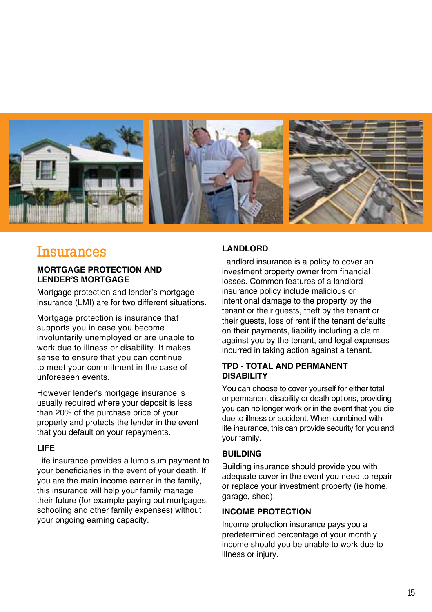

### **Insurances**

#### **Mortgage protection and lender's mortgage**

Mortgage protection and lender's mortgage insurance (LMI) are for two different situations.

Mortgage protection is insurance that supports you in case you become involuntarily unemployed or are unable to work due to illness or disability. It makes sense to ensure that you can continue to meet your commitment in the case of unforeseen events.

However lender's mortgage insurance is usually required where your deposit is less than 20% of the purchase price of your property and protects the lender in the event that you default on your repayments.

#### **Life**

Life insurance provides a lump sum payment to your beneficiaries in the event of your death. If you are the main income earner in the family, this insurance will help your family manage their future (for example paying out mortgages, schooling and other family expenses) without your ongoing earning capacity.

#### **Landlord**

Landlord insurance is a policy to cover an investment property owner from financial losses. Common features of a landlord insurance policy include malicious or intentional damage to the property by the tenant or their guests, theft by the tenant or their guests, loss of rent if the tenant defaults on their payments, liability including a claim against you by the tenant, and legal expenses incurred in taking action against a tenant.

#### **TPD - total and permanent disability**

You can choose to cover yourself for either total or permanent disability or death options, providing you can no longer work or in the event that you die due to illness or accident. When combined with life insurance, this can provide security for you and your family.

#### **BUILDING**

Building insurance should provide you with adequate cover in the event you need to repair or replace your investment property (ie home, garage, shed).

#### **Income protection**

Income protection insurance pays you a predetermined percentage of your monthly income should you be unable to work due to illness or injury.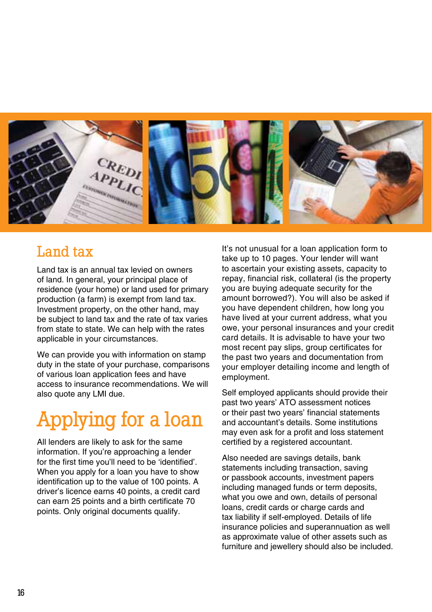

## Land tax

Land tax is an annual tax levied on owners of land. In general, your principal place of residence (your home) or land used for primary production (a farm) is exempt from land tax. Investment property, on the other hand, may be subject to land tax and the rate of tax varies from state to state. We can help with the rates applicable in your circumstances.

We can provide you with information on stamp duty in the state of your purchase, comparisons of various loan application fees and have access to insurance recommendations. We will also quote any LMI due.

## Applying for a loan

All lenders are likely to ask for the same information. If you're approaching a lender for the first time you'll need to be 'identified'. When you apply for a loan you have to show identification up to the value of 100 points. A driver's licence earns 40 points, a credit card can earn 25 points and a birth certificate 70 points. Only original documents qualify.

It's not unusual for a loan application form to take up to 10 pages. Your lender will want to ascertain your existing assets, capacity to repay, financial risk, collateral (is the property you are buying adequate security for the amount borrowed?). You will also be asked if you have dependent children, how long you have lived at your current address, what you owe, your personal insurances and your credit card details. It is advisable to have your two most recent pay slips, group certificates for the past two years and documentation from your employer detailing income and length of employment.

Self employed applicants should provide their past two years' ATO assessment notices or their past two years' financial statements and accountant's details. Some institutions may even ask for a profit and loss statement certified by a registered accountant.

Also needed are savings details, bank statements including transaction, saving or passbook accounts, investment papers including managed funds or term deposits, what you owe and own, details of personal loans, credit cards or charge cards and tax liability if self-employed. Details of life insurance policies and superannuation as well as approximate value of other assets such as furniture and jewellery should also be included.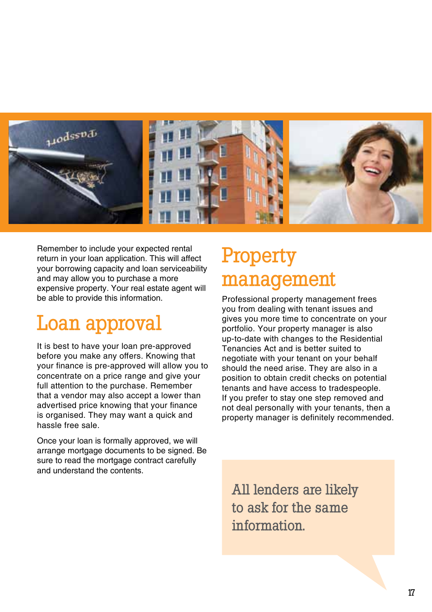

Remember to include your expected rental return in your loan application. This will affect your borrowing capacity and loan serviceability and may allow you to purchase a more expensive property. Your real estate agent will be able to provide this information.

## Loan approval

It is best to have your loan pre-approved before you make any offers. Knowing that your finance is pre-approved will allow you to concentrate on a price range and give your full attention to the purchase. Remember that a vendor may also accept a lower than advertised price knowing that your finance is organised. They may want a quick and hassle free sale.

Once your loan is formally approved, we will arrange mortgage documents to be signed. Be sure to read the mortgage contract carefully and understand the contents.

## Property management

Professional property management frees you from dealing with tenant issues and gives you more time to concentrate on your portfolio. Your property manager is also up-to-date with changes to the Residential Tenancies Act and is better suited to negotiate with your tenant on your behalf should the need arise. They are also in a position to obtain credit checks on potential tenants and have access to tradespeople. If you prefer to stay one step removed and not deal personally with your tenants, then a property manager is definitely recommended.

All lenders are likely to ask for the same information.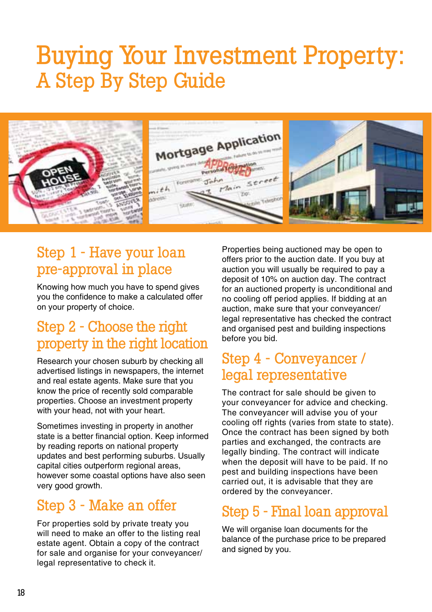## Buying Your Investment Property: A Step By Step Guide



## Step 1 - Have your loan pre-approval in place

Knowing how much you have to spend gives you the confidence to make a calculated offer on your property of choice.

## Step 2 - Choose the right property in the right location

Research your chosen suburb by checking all advertised listings in newspapers, the internet and real estate agents. Make sure that you know the price of recently sold comparable properties. Choose an investment property with your head, not with your heart.

Sometimes investing in property in another state is a better financial option. Keep informed by reading reports on national property updates and best performing suburbs. Usually capital cities outperform regional areas, however some coastal options have also seen very good growth.

## Step 3 - Make an offer

For properties sold by private treaty you will need to make an offer to the listing real estate agent. Obtain a copy of the contract for sale and organise for your conveyancer/ legal representative to check it.

Properties being auctioned may be open to offers prior to the auction date. If you buy at auction you will usually be required to pay a deposit of 10% on auction day. The contract for an auctioned property is unconditional and no cooling off period applies. If bidding at an auction, make sure that your conveyancer/ legal representative has checked the contract and organised pest and building inspections before you bid.

## Step 4 - Conveyancer / legal representative

The contract for sale should be given to your conveyancer for advice and checking. The conveyancer will advise you of your cooling off rights (varies from state to state). Once the contract has been signed by both parties and exchanged, the contracts are legally binding. The contract will indicate when the deposit will have to be paid. If no pest and building inspections have been carried out, it is advisable that they are ordered by the conveyancer.

## Step 5 - Final loan approval

We will organise loan documents for the balance of the purchase price to be prepared and signed by you.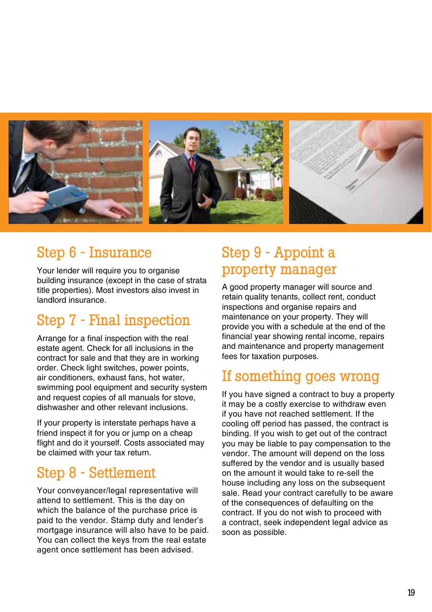

## Step 6 - Insurance

Your lender will require you to organise building insurance (except in the case of strata title properties). Most investors also invest in landlord insurance.

### Step 7 - Final inspection

Arrange for a final inspection with the real estate agent. Check for all inclusions in the contract for sale and that they are in working order. Check light switches, power points, air conditioners, exhaust fans, hot water, swimming pool equipment and security system and request copies of all manuals for stove, dishwasher and other relevant inclusions.

If your property is interstate perhaps have a friend inspect it for you or jump on a cheap flight and do it yourself. Costs associated may be claimed with your tax return.

## Step 8 - Settlement

Your conveyancer/legal representative will attend to settlement. This is the day on which the balance of the purchase price is paid to the vendor. Stamp duty and lender's mortgage insurance will also have to be paid. You can collect the keys from the real estate agent once settlement has been advised.

## Step 9 - Appoint a property manager

A good property manager will source and retain quality tenants, collect rent, conduct inspections and organise repairs and maintenance on your property. They will provide you with a schedule at the end of the financial year showing rental income, repairs and maintenance and property management fees for taxation purposes.

### If something goes wrong

If you have signed a contract to buy a property it may be a costly exercise to withdraw even if you have not reached settlement. If the cooling off period has passed, the contract is binding. If you wish to get out of the contract you may be liable to pay compensation to the vendor. The amount will depend on the loss suffered by the vendor and is usually based on the amount it would take to re-sell the house including any loss on the subsequent sale. Read your contract carefully to be aware of the consequences of defaulting on the contract. If you do not wish to proceed with a contract, seek independent legal advice as soon as possible.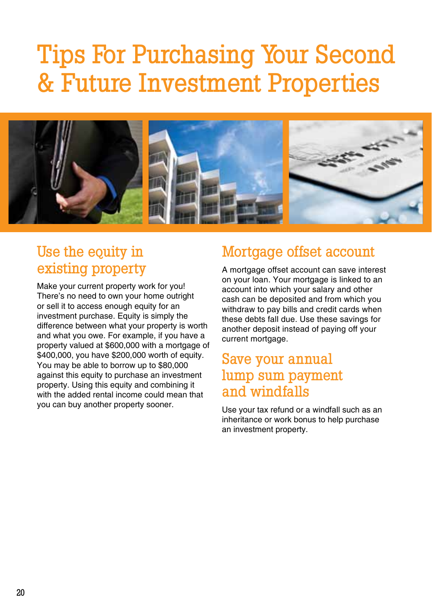## Tips For Purchasing Your Second & Future Investment Properties



## Use the equity in existing property

Make your current property work for you! There's no need to own your home outright or sell it to access enough equity for an investment purchase. Equity is simply the difference between what your property is worth and what you owe. For example, if you have a property valued at \$600,000 with a mortgage of \$400,000, you have \$200,000 worth of equity. You may be able to borrow up to \$80,000 against this equity to purchase an investment property. Using this equity and combining it with the added rental income could mean that you can buy another property sooner.

### Mortgage offset account

A mortgage offset account can save interest on your loan. Your mortgage is linked to an account into which your salary and other cash can be deposited and from which you withdraw to pay bills and credit cards when these debts fall due. Use these savings for another deposit instead of paying off your current mortgage.

### Save your annual lump sum payment and windfalls

Use your tax refund or a windfall such as an inheritance or work bonus to help purchase an investment property.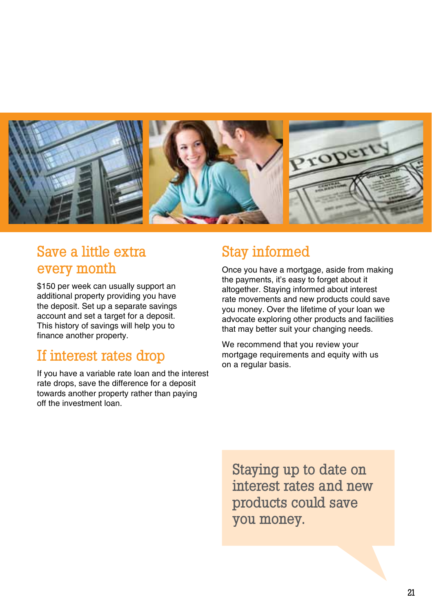

## Save a little extra every month

\$150 per week can usually support an additional property providing you have the deposit. Set up a separate savings account and set a target for a deposit. This history of savings will help you to finance another property.

### If interest rates drop

If you have a variable rate loan and the interest rate drops, save the difference for a deposit towards another property rather than paying off the investment loan.

## Stay informed

Once you have a mortgage, aside from making the payments, it's easy to forget about it altogether. Staying informed about interest rate movements and new products could save you money. Over the lifetime of your loan we advocate exploring other products and facilities that may better suit your changing needs.

We recommend that you review your mortgage requirements and equity with us on a regular basis.

Staying up to date on interest rates and new products could save you money.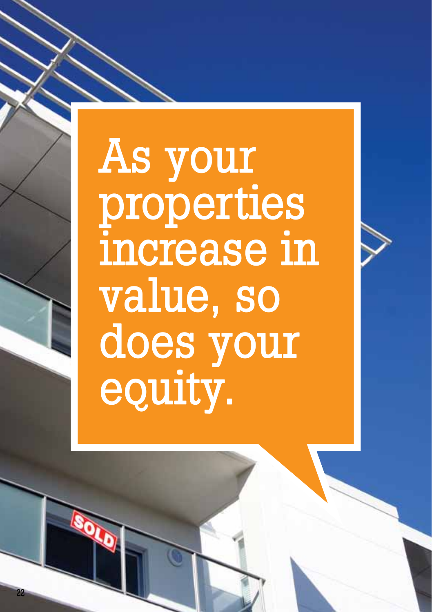# As your properties increase in value, so does your equity.

22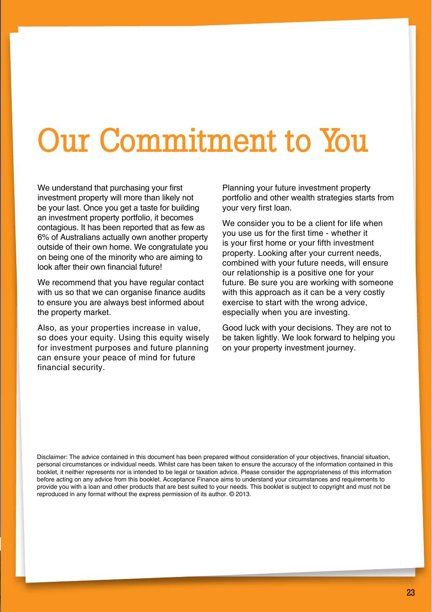# Our Commitment to You

We understand that purchasing your first investment property will more than likely not be your last. Once you get a taste for building an investment property portfolio, it becomes contagious. It has been reported that as few as 6% of Australians actually own another property outside of their own home. We congratulate you on being one of the minority who are aiming to look after their own financial future!

We recommend that you have regular contact with us so that we can organise finance audits to ensure you are always best informed about the property market.

Also, as your properties increase in value, so does your equity. Using this equity wisely for investment purposes and future planning can ensure your peace of mind for future financial security.

Planning your future investment property portfolio and other wealth strategies starts from your very first loan.

We consider you to be a client for life when you use us for the first time - whether it is your first home or your fifth investment property. Looking after your current needs, combined with your future needs, will ensure our relationship is a positive one for your future. Be sure you are working with someone with this approach as it can be a very costly exercise to start with the wrong advice, especially when you are investing.

Good luck with your decisions. They are not to be taken lightly. We look forward to helping you on your property investment journey.

Disclaimer: The advice contained in this document has been prepared without consideration of your objectives, financial situation, personal circumstances or individual needs. Whilst care has been taken to ensure the accuracy of the information contained in this booklet, it neither represents nor is intended to be legal or taxation advice. Please consider the appropriateness of this information before acting on any advice from this booklet. Acceptance Finance aims to understand your circumstances and requirements to provide you with a loan and other products that are best suited to your needs. This booklet is subject to copyright and must not be reproduced in any format without the express permission of its author. © 2013.